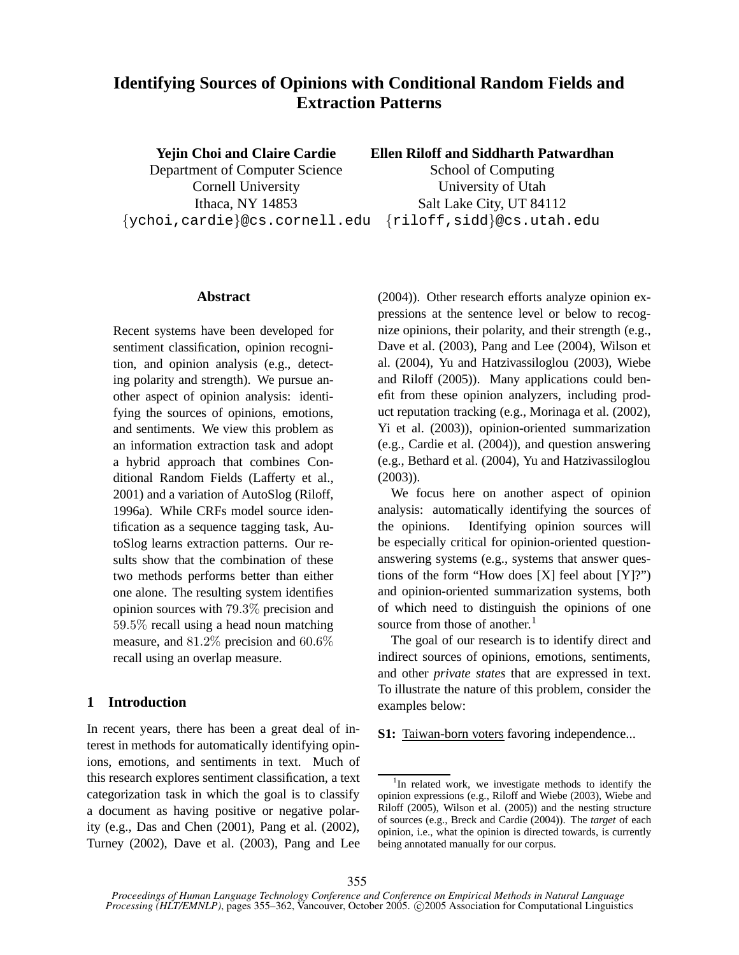# **Identifying Sources of Opinions with Conditional Random Fields and Extraction Patterns**

**Yejin Choi and Claire Cardie** Department of Computer Science Cornell University Ithaca, NY 14853 {ychoi,cardie}@cs.cornell.edu {riloff,sidd}@cs.utah.edu

**Ellen Riloff and Siddharth Patwardhan**

School of Computing University of Utah Salt Lake City, UT 84112

### **Abstract**

Recent systems have been developed for sentiment classification, opinion recognition, and opinion analysis (e.g., detecting polarity and strength). We pursue another aspect of opinion analysis: identifying the sources of opinions, emotions, and sentiments. We view this problem as an information extraction task and adopt a hybrid approach that combines Conditional Random Fields (Lafferty et al., 2001) and a variation of AutoSlog (Riloff, 1996a). While CRFs model source identification as a sequence tagging task, AutoSlog learns extraction patterns. Our results show that the combination of these two methods performs better than either one alone. The resulting system identifies opinion sources with 79.3% precision and 59.5% recall using a head noun matching measure, and 81.2% precision and 60.6% recall using an overlap measure.

### **1 Introduction**

In recent years, there has been a great deal of interest in methods for automatically identifying opinions, emotions, and sentiments in text. Much of this research explores sentiment classification, a text categorization task in which the goal is to classify a document as having positive or negative polarity (e.g., Das and Chen (2001), Pang et al. (2002), Turney (2002), Dave et al. (2003), Pang and Lee (2004)). Other research efforts analyze opinion expressions at the sentence level or below to recognize opinions, their polarity, and their strength (e.g., Dave et al. (2003), Pang and Lee (2004), Wilson et al. (2004), Yu and Hatzivassiloglou (2003), Wiebe and Riloff (2005)). Many applications could benefit from these opinion analyzers, including product reputation tracking (e.g., Morinaga et al. (2002), Yi et al. (2003)), opinion-oriented summarization (e.g., Cardie et al. (2004)), and question answering (e.g., Bethard et al. (2004), Yu and Hatzivassiloglou (2003)).

We focus here on another aspect of opinion analysis: automatically identifying the sources of the opinions. Identifying opinion sources will be especially critical for opinion-oriented questionanswering systems (e.g., systems that answer questions of the form "How does  $[X]$  feel about  $[Y]$ ?") and opinion-oriented summarization systems, both of which need to distinguish the opinions of one source from those of another.<sup>1</sup>

The goal of our research is to identify direct and indirect sources of opinions, emotions, sentiments, and other *private states* that are expressed in text. To illustrate the nature of this problem, consider the examples below:

**S1:** Taiwan-born voters favoring independence...

<sup>&</sup>lt;sup>1</sup>In related work, we investigate methods to identify the opinion expressions (e.g., Riloff and Wiebe (2003), Wiebe and Riloff (2005), Wilson et al. (2005)) and the nesting structure of sources (e.g., Breck and Cardie (2004)). The *target* of each opinion, i.e., what the opinion is directed towards, is currently being annotated manually for our corpus.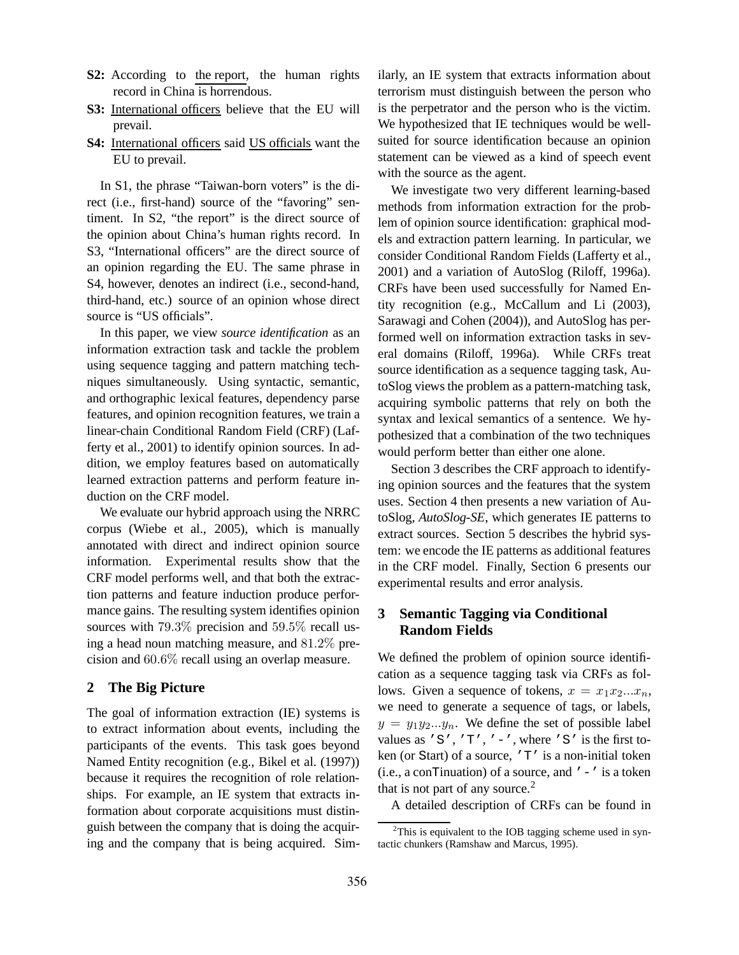- **S2:** According to the report, the human rights record in China is horrendous.
- **S3:** International officers believe that the EU will prevail.
- S4: International officers said US officials want the EU to prevail.

In S1, the phrase "Taiwan-born voters" is the direct (i.e., first-hand) source of the "favoring" sentiment. In S2, "the report" is the direct source of the opinion about China's human rights record. In S3, "International officers" are the direct source of an opinion regarding the EU. The same phrase in S4, however, denotes an indirect (i.e., second-hand, third-hand, etc.) source of an opinion whose direct source is "US officials".

In this paper, we view *source identification* as an information extraction task and tackle the problem using sequence tagging and pattern matching techniques simultaneously. Using syntactic, semantic, and orthographic lexical features, dependency parse features, and opinion recognition features, we train a linear-chain Conditional Random Field (CRF) (Lafferty et al., 2001) to identify opinion sources. In addition, we employ features based on automatically learned extraction patterns and perform feature induction on the CRF model.

We evaluate our hybrid approach using the NRRC corpus (Wiebe et al., 2005), which is manually annotated with direct and indirect opinion source information. Experimental results show that the CRF model performs well, and that both the extraction patterns and feature induction produce performance gains. The resulting system identifies opinion sources with 79.3% precision and 59.5% recall using a head noun matching measure, and 81.2% precision and 60.6% recall using an overlap measure.

### **2 The Big Picture**

The goal of information extraction (IE) systems is to extract information about events, including the participants of the events. This task goes beyond Named Entity recognition (e.g., Bikel et al. (1997)) because it requires the recognition of role relationships. For example, an IE system that extracts information about corporate acquisitions must distinguish between the company that is doing the acquiring and the company that is being acquired. Similarly, an IE system that extracts information about terrorism must distinguish between the person who is the perpetrator and the person who is the victim. We hypothesized that IE techniques would be wellsuited for source identification because an opinion statement can be viewed as a kind of speech event with the source as the agent.

We investigate two very different learning-based methods from information extraction for the problem of opinion source identification: graphical models and extraction pattern learning. In particular, we consider Conditional Random Fields (Lafferty et al., 2001) and a variation of AutoSlog (Riloff, 1996a). CRFs have been used successfully for Named Entity recognition (e.g., McCallum and Li (2003), Sarawagi and Cohen (2004)), and AutoSlog has performed well on information extraction tasks in several domains (Riloff, 1996a). While CRFs treat source identification as a sequence tagging task, AutoSlog views the problem as a pattern-matching task, acquiring symbolic patterns that rely on both the syntax and lexical semantics of a sentence. We hypothesized that a combination of the two techniques would perform better than either one alone.

Section 3 describes the CRF approach to identifying opinion sources and the features that the system uses. Section 4 then presents a new variation of AutoSlog, *AutoSlog-SE*, which generates IE patterns to extract sources. Section 5 describes the hybrid system: we encode the IE patterns as additional features in the CRF model. Finally, Section 6 presents our experimental results and error analysis.

### **3 Semantic Tagging via Conditional Random Fields**

We defined the problem of opinion source identification as a sequence tagging task via CRFs as follows. Given a sequence of tokens,  $x = x_1x_2...x_n$ , we need to generate a sequence of tags, or labels,  $y = y_1y_2...y_n$ . We define the set of possible label values as 'S', 'T', '-', where 'S' is the first token (or Start) of a source, 'T' is a non-initial token (i.e., a conTinuation) of a source, and  $\prime - \prime$  is a token that is not part of any source.<sup>2</sup>

A detailed description of CRFs can be found in

 $2$ This is equivalent to the IOB tagging scheme used in syntactic chunkers (Ramshaw and Marcus, 1995).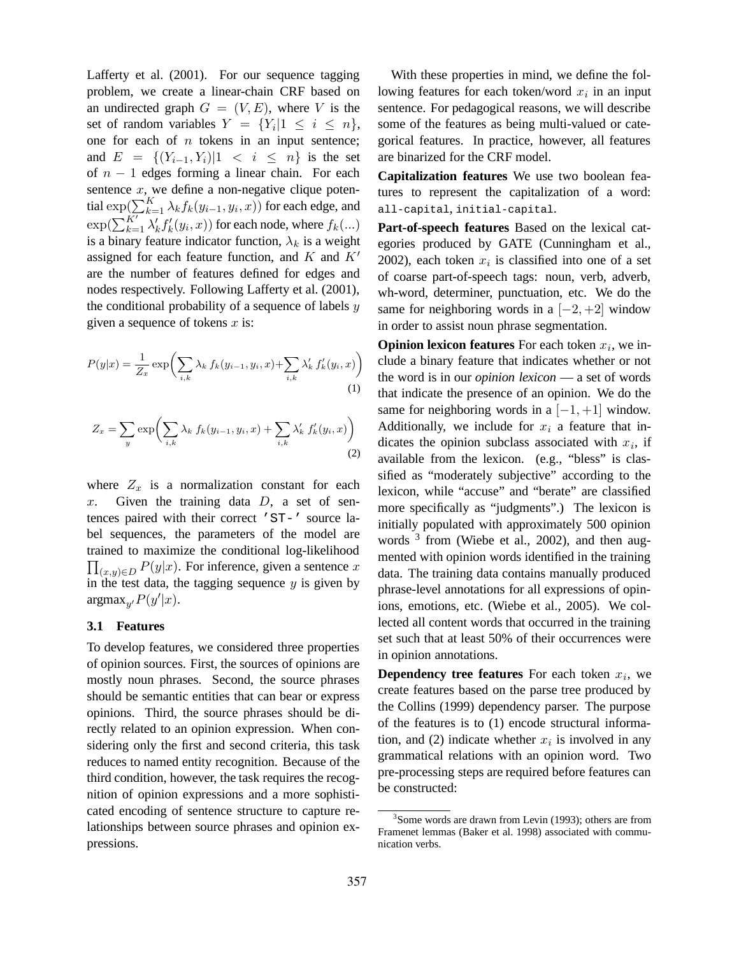Lafferty et al. (2001). For our sequence tagging problem, we create a linear-chain CRF based on an undirected graph  $G = (V, E)$ , where V is the set of random variables  $Y = \{Y_i | 1 \le i \le n\},\$ one for each of  $n$  tokens in an input sentence; and  $E = \{(Y_{i-1}, Y_i) | 1 \le i \le n\}$  is the set of  $n - 1$  edges forming a linear chain. For each sentence  $x$ , we define a non-negative clique potential  $\exp(\sum_{k=1}^K \lambda_k f_k(y_{i-1}, y_i, x))$  for each edge, and  $\exp(\sum_{k=1}^K \lambda_k)$  $\int_k' f'_k$  $f_k'(y_i, x)$  for each node, where  $f_k(...)$ is a binary feature indicator function,  $\lambda_k$  is a weight assigned for each feature function, and  $K$  and  $K'$ are the number of features defined for edges and nodes respectively. Following Lafferty et al. (2001), the conditional probability of a sequence of labels  $y$ given a sequence of tokens  $x$  is:

$$
P(y|x) = \frac{1}{Z_x} \exp\left(\sum_{i,k} \lambda_k f_k(y_{i-1}, y_i, x) + \sum_{i,k} \lambda'_k f'_k(y_i, x)\right)
$$
\n(1)

$$
Z_x = \sum_{y} \exp\left(\sum_{i,k} \lambda_k f_k(y_{i-1}, y_i, x) + \sum_{i,k} \lambda'_k f'_k(y_i, x)\right)
$$
\n(2)

where  $Z_x$  is a normalization constant for each  $x$ . Given the training data  $D$ , a set of sentences paired with their correct 'ST-' source label sequences, the parameters of the model are trained to maximize the conditional log-likelihood  $\prod_{(x,y)\in D} P(y|x)$ . For inference, given a sentence x in the test data, the tagging sequence  $y$  is given by  $argmax_{y'} P(y'|x)$ .

#### **3.1 Features**

To develop features, we considered three properties of opinion sources. First, the sources of opinions are mostly noun phrases. Second, the source phrases should be semantic entities that can bear or express opinions. Third, the source phrases should be directly related to an opinion expression. When considering only the first and second criteria, this task reduces to named entity recognition. Because of the third condition, however, the task requires the recognition of opinion expressions and a more sophisticated encoding of sentence structure to capture relationships between source phrases and opinion expressions.

With these properties in mind, we define the following features for each token/word  $x_i$  in an input sentence. For pedagogical reasons, we will describe some of the features as being multi-valued or categorical features. In practice, however, all features are binarized for the CRF model.

**Capitalization features** We use two boolean features to represent the capitalization of a word: all-capital, initial-capital.

**Part-of-speech features** Based on the lexical categories produced by GATE (Cunningham et al., 2002), each token  $x_i$  is classified into one of a set of coarse part-of-speech tags: noun, verb, adverb, wh-word, determiner, punctuation, etc. We do the same for neighboring words in a  $[-2, +2]$  window in order to assist noun phrase segmentation.

**Opinion lexicon features** For each token  $x_i$ , we include a binary feature that indicates whether or not the word is in our *opinion lexicon* — a set of words that indicate the presence of an opinion. We do the same for neighboring words in a  $[-1, +1]$  window. Additionally, we include for  $x_i$  a feature that indicates the opinion subclass associated with  $x_i$ , if available from the lexicon. (e.g., "bless" is classified as "moderately subjective" according to the lexicon, while "accuse" and "berate" are classified more specifically as "judgments".) The lexicon is initially populated with approximately 500 opinion words <sup>3</sup> from (Wiebe et al., 2002), and then augmented with opinion words identified in the training data. The training data contains manually produced phrase-level annotations for all expressions of opinions, emotions, etc. (Wiebe et al., 2005). We collected all content words that occurred in the training set such that at least 50% of their occurrences were in opinion annotations.

**Dependency tree features** For each token  $x_i$ , we create features based on the parse tree produced by the Collins (1999) dependency parser. The purpose of the features is to (1) encode structural information, and (2) indicate whether  $x_i$  is involved in any grammatical relations with an opinion word. Two pre-processing steps are required before features can be constructed:

<sup>&</sup>lt;sup>3</sup> Some words are drawn from Levin (1993); others are from Framenet lemmas (Baker et al. 1998) associated with communication verbs.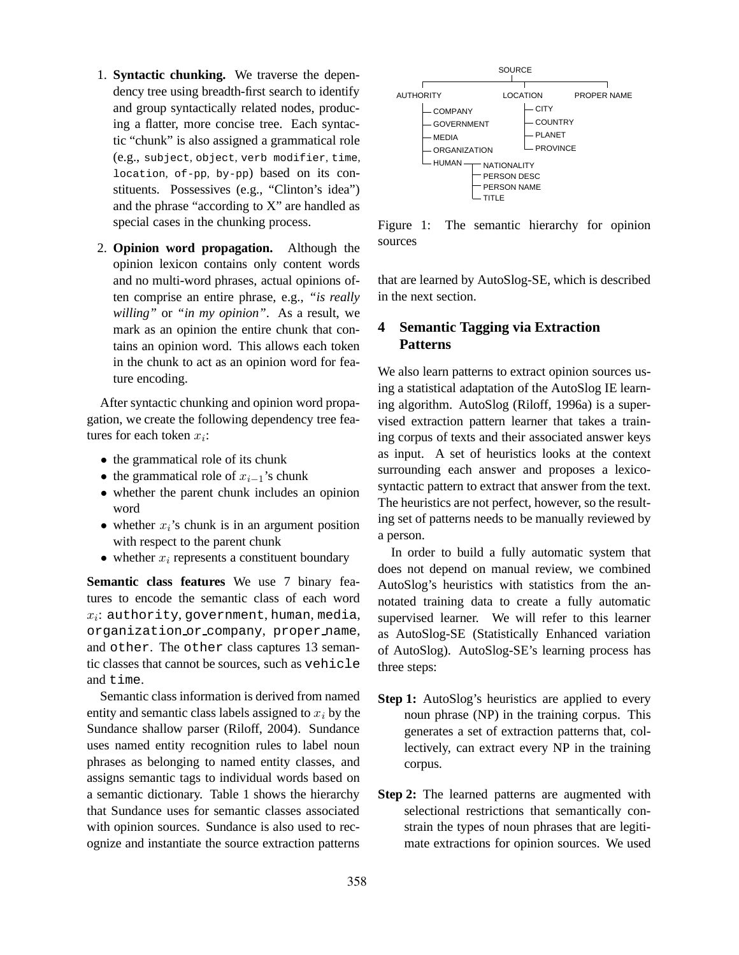- 1. **Syntactic chunking.** We traverse the dependency tree using breadth-first search to identify and group syntactically related nodes, producing a flatter, more concise tree. Each syntactic "chunk" is also assigned a grammatical role (e.g., subject, object, verb modifier, time, location, of-pp, by-pp) based on its constituents. Possessives (e.g., "Clinton's idea") and the phrase "according to X" are handled as special cases in the chunking process.
- 2. **Opinion word propagation.** Although the opinion lexicon contains only content words and no multi-word phrases, actual opinions often comprise an entire phrase, e.g., *"is really willing"* or *"in my opinion"*. As a result, we mark as an opinion the entire chunk that contains an opinion word. This allows each token in the chunk to act as an opinion word for feature encoding.

After syntactic chunking and opinion word propagation, we create the following dependency tree features for each token  $x_i$ :

- the grammatical role of its chunk
- the grammatical role of  $x_{i-1}$ 's chunk
- whether the parent chunk includes an opinion word
- whether  $x_i$ 's chunk is in an argument position with respect to the parent chunk
- whether  $x_i$  represents a constituent boundary

**Semantic class features** We use 7 binary features to encode the semantic class of each word  $x_i$ : authority, government, human, media, organization or company, proper name, and other. The other class captures 13 semantic classes that cannot be sources, such as vehicle and time.

Semantic class information is derived from named entity and semantic class labels assigned to  $x_i$  by the Sundance shallow parser (Riloff, 2004). Sundance uses named entity recognition rules to label noun phrases as belonging to named entity classes, and assigns semantic tags to individual words based on a semantic dictionary. Table 1 shows the hierarchy that Sundance uses for semantic classes associated with opinion sources. Sundance is also used to recognize and instantiate the source extraction patterns



Figure 1: The semantic hierarchy for opinion sources

that are learned by AutoSlog-SE, which is described in the next section.

## **4 Semantic Tagging via Extraction Patterns**

We also learn patterns to extract opinion sources using a statistical adaptation of the AutoSlog IE learning algorithm. AutoSlog (Riloff, 1996a) is a supervised extraction pattern learner that takes a training corpus of texts and their associated answer keys as input. A set of heuristics looks at the context surrounding each answer and proposes a lexicosyntactic pattern to extract that answer from the text. The heuristics are not perfect, however, so the resulting set of patterns needs to be manually reviewed by a person.

In order to build a fully automatic system that does not depend on manual review, we combined AutoSlog's heuristics with statistics from the annotated training data to create a fully automatic supervised learner. We will refer to this learner as AutoSlog-SE (Statistically Enhanced variation of AutoSlog). AutoSlog-SE's learning process has three steps:

- **Step 1:** AutoSlog's heuristics are applied to every noun phrase (NP) in the training corpus. This generates a set of extraction patterns that, collectively, can extract every NP in the training corpus.
- **Step 2:** The learned patterns are augmented with selectional restrictions that semantically constrain the types of noun phrases that are legitimate extractions for opinion sources. We used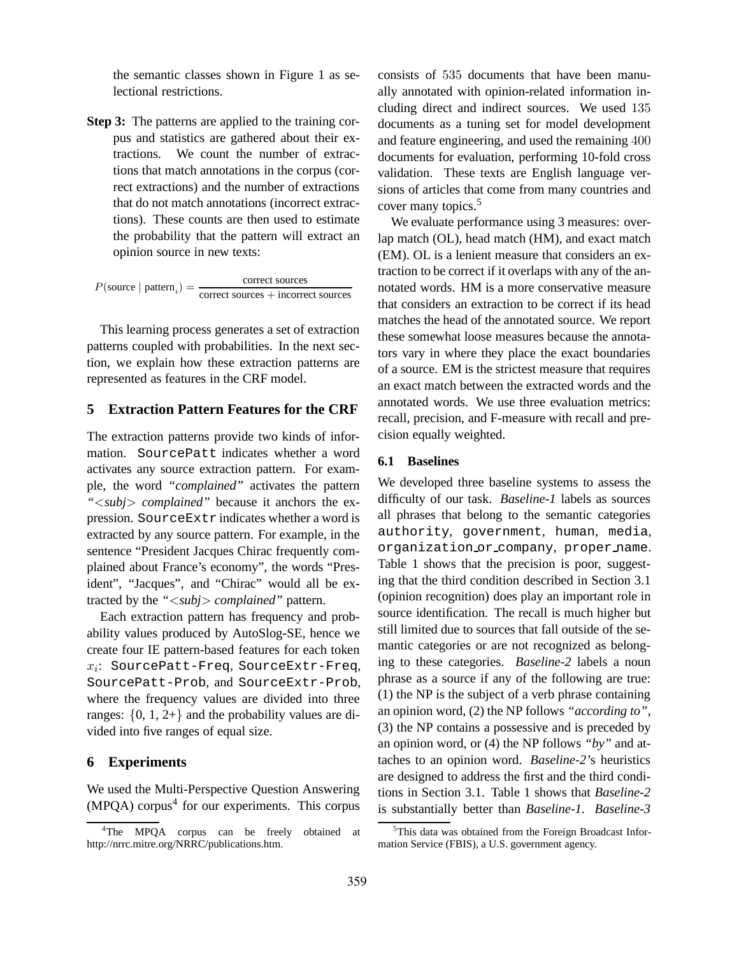the semantic classes shown in Figure 1 as selectional restrictions.

**Step 3:** The patterns are applied to the training corpus and statistics are gathered about their extractions. We count the number of extractions that match annotations in the corpus (correct extractions) and the number of extractions that do not match annotations (incorrect extractions). These counts are then used to estimate the probability that the pattern will extract an opinion source in new texts:

 $P(\text{source} \mid \text{pattern}_i) = \frac{\text{correct sources}}{\text{correct sources} \mid \text{incorrect}}$ correct sources + incorrect sources

This learning process generates a set of extraction patterns coupled with probabilities. In the next section, we explain how these extraction patterns are represented as features in the CRF model.

#### **5 Extraction Pattern Features for the CRF**

The extraction patterns provide two kinds of information. SourcePatt indicates whether a word activates any source extraction pattern. For example, the word *"complained"* activates the pattern *"*<*subj*> *complained"* because it anchors the expression. SourceExtr indicates whether a word is extracted by any source pattern. For example, in the sentence "President Jacques Chirac frequently complained about France's economy", the words "President", "Jacques", and "Chirac" would all be extracted by the *"*<*subj*> *complained"* pattern.

Each extraction pattern has frequency and probability values produced by AutoSlog-SE, hence we create four IE pattern-based features for each token  $x_i$ : SourcePatt-Freq, SourceExtr-Freq, SourcePatt-Prob, and SourceExtr-Prob, where the frequency values are divided into three ranges:  $\{0, 1, 2+\}$  and the probability values are divided into five ranges of equal size.

### **6 Experiments**

We used the Multi-Perspective Question Answering  $(MPQA)$  corpus<sup>4</sup> for our experiments. This corpus

consists of 535 documents that have been manually annotated with opinion-related information including direct and indirect sources. We used 135 documents as a tuning set for model development and feature engineering, and used the remaining 400 documents for evaluation, performing 10-fold cross validation. These texts are English language versions of articles that come from many countries and cover many topics.<sup>5</sup>

We evaluate performance using 3 measures: overlap match (OL), head match (HM), and exact match (EM). OL is a lenient measure that considers an extraction to be correct if it overlaps with any of the annotated words. HM is a more conservative measure that considers an extraction to be correct if its head matches the head of the annotated source. We report these somewhat loose measures because the annotators vary in where they place the exact boundaries of a source. EM is the strictest measure that requires an exact match between the extracted words and the annotated words. We use three evaluation metrics: recall, precision, and F-measure with recall and precision equally weighted.

#### **6.1 Baselines**

We developed three baseline systems to assess the difficulty of our task. *Baseline-1* labels as sources all phrases that belong to the semantic categories authority, government, human, media, organization or company, proper name. Table 1 shows that the precision is poor, suggesting that the third condition described in Section 3.1 (opinion recognition) does play an important role in source identification. The recall is much higher but still limited due to sources that fall outside of the semantic categories or are not recognized as belonging to these categories. *Baseline-2* labels a noun phrase as a source if any of the following are true: (1) the NP is the subject of a verb phrase containing an opinion word, (2) the NP follows *"according to"*, (3) the NP contains a possessive and is preceded by an opinion word, or (4) the NP follows *"by"* and attaches to an opinion word. *Baseline-2'*s heuristics are designed to address the first and the third conditions in Section 3.1. Table 1 shows that *Baseline-2* is substantially better than *Baseline-1*. *Baseline-3*

<sup>4</sup>The MPQA corpus can be freely obtained at http://nrrc.mitre.org/NRRC/publications.htm.

<sup>&</sup>lt;sup>5</sup>This data was obtained from the Foreign Broadcast Information Service (FBIS), a U.S. government agency.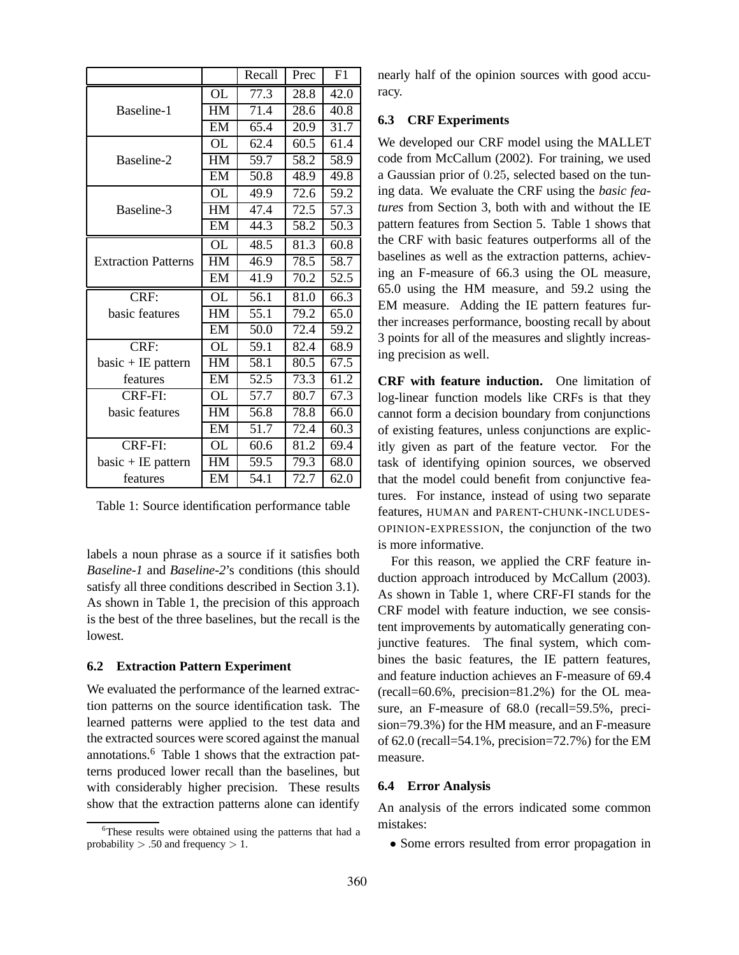|                            |                 | Recall            | Prec | F1   |
|----------------------------|-----------------|-------------------|------|------|
|                            | <b>OL</b>       | 77.3              | 28.8 | 42.0 |
| Baseline-1                 | $\overline{HM}$ | $\overline{71.4}$ | 28.6 | 40.8 |
|                            | EM              | 65.4              | 20.9 | 31.7 |
|                            | <b>OL</b>       | 62.4              | 60.5 | 61.4 |
| Baseline-2                 | HM              | 59.7              | 58.2 | 58.9 |
|                            | EM              | 50.8              | 48.9 | 49.8 |
|                            | <b>OL</b>       | 49.9              | 72.6 | 59.2 |
| Baseline-3                 | HM              | 47.4              | 72.5 | 57.3 |
|                            | EM              | 44.3              | 58.2 | 50.3 |
|                            | <b>OL</b>       | 48.5              | 81.3 | 60.8 |
| <b>Extraction Patterns</b> | HM              | 46.9              | 78.5 | 58.7 |
|                            | EM              | 41.9              | 70.2 | 52.5 |
| CRF:                       | OL              | 56.1              | 81.0 | 66.3 |
| basic features             | HM              | 55.1              | 79.2 | 65.0 |
|                            | EM              | 50.0              | 72.4 | 59.2 |
| CRF:                       | <b>OL</b>       | 59.1              | 82.4 | 68.9 |
| basic + IE pattern         | HM              | 58.1              | 80.5 | 67.5 |
| features                   | EM              | 52.5              | 73.3 | 61.2 |
| CRF-FI:                    | OL              | 57.7              | 80.7 | 67.3 |
| basic features             | HM              | 56.8              | 78.8 | 66.0 |
|                            | EM              | 51.7              | 72.4 | 60.3 |
| CRF-FI:                    | <b>OL</b>       | 60.6              | 81.2 | 69.4 |
| $basic + IE$ pattern       | HM              | 59.5              | 79.3 | 68.0 |
| features                   | EM              | 54.1              | 72.7 | 62.0 |

Table 1: Source identification performance table

labels a noun phrase as a source if it satisfies both *Baseline-1* and *Baseline-2*'s conditions (this should satisfy all three conditions described in Section 3.1). As shown in Table 1, the precision of this approach is the best of the three baselines, but the recall is the lowest.

#### **6.2 Extraction Pattern Experiment**

We evaluated the performance of the learned extraction patterns on the source identification task. The learned patterns were applied to the test data and the extracted sources were scored against the manual annotations.<sup>6</sup> Table 1 shows that the extraction patterns produced lower recall than the baselines, but with considerably higher precision. These results show that the extraction patterns alone can identify

nearly half of the opinion sources with good accuracy.

### **6.3 CRF Experiments**

We developed our CRF model using the MALLET code from McCallum (2002). For training, we used a Gaussian prior of 0.25, selected based on the tuning data. We evaluate the CRF using the *basic features* from Section 3, both with and without the IE pattern features from Section 5. Table 1 shows that the CRF with basic features outperforms all of the baselines as well as the extraction patterns, achieving an F-measure of 66.3 using the OL measure, 65.0 using the HM measure, and 59.2 using the EM measure. Adding the IE pattern features further increases performance, boosting recall by about 3 points for all of the measures and slightly increasing precision as well.

**CRF with feature induction.** One limitation of log-linear function models like CRFs is that they cannot form a decision boundary from conjunctions of existing features, unless conjunctions are explicitly given as part of the feature vector. For the task of identifying opinion sources, we observed that the model could benefit from conjunctive features. For instance, instead of using two separate features, HUMAN and PARENT-CHUNK-INCLUDES-OPINION-EXPRESSION, the conjunction of the two is more informative.

For this reason, we applied the CRF feature induction approach introduced by McCallum (2003). As shown in Table 1, where CRF-FI stands for the CRF model with feature induction, we see consistent improvements by automatically generating conjunctive features. The final system, which combines the basic features, the IE pattern features, and feature induction achieves an F-measure of 69.4 (recall=60.6%, precision=81.2%) for the OL measure, an F-measure of 68.0 (recall=59.5%, precision=79.3%) for the HM measure, and an F-measure of 62.0 (recall=54.1%, precision=72.7%) for the EM measure.

#### **6.4 Error Analysis**

An analysis of the errors indicated some common mistakes:

• Some errors resulted from error propagation in

<sup>&</sup>lt;sup>6</sup>These results were obtained using the patterns that had a probability  $> .50$  and frequency  $> 1$ .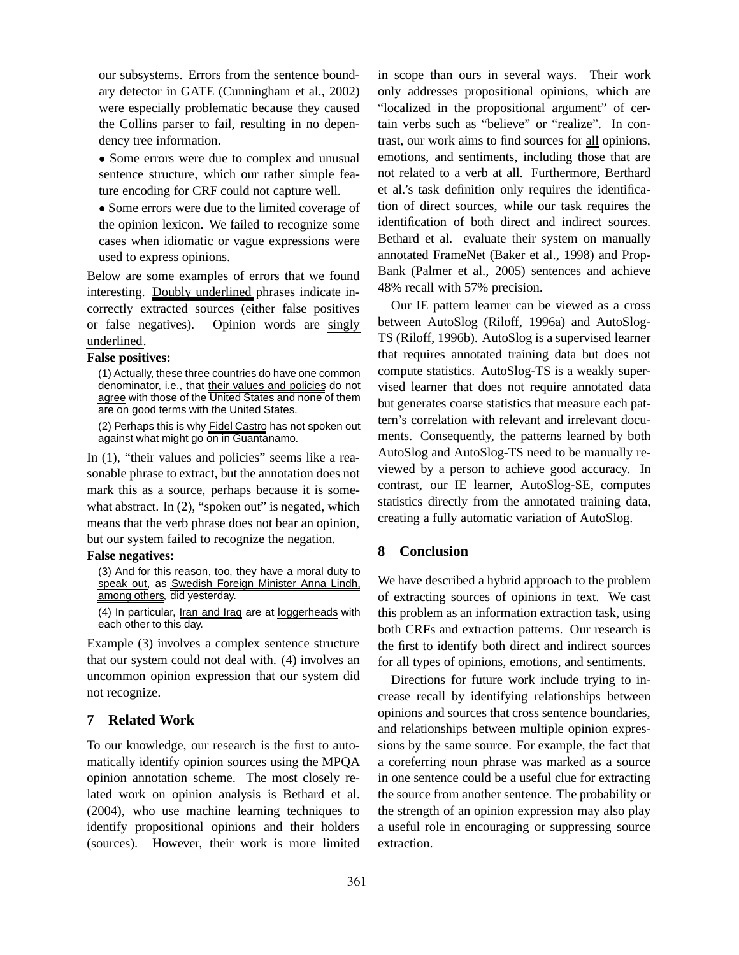our subsystems. Errors from the sentence boundary detector in GATE (Cunningham et al., 2002) were especially problematic because they caused the Collins parser to fail, resulting in no dependency tree information.

• Some errors were due to complex and unusual sentence structure, which our rather simple feature encoding for CRF could not capture well.

• Some errors were due to the limited coverage of the opinion lexicon. We failed to recognize some cases when idiomatic or vague expressions were used to express opinions.

Below are some examples of errors that we found interesting. Doubly underlined phrases indicate incorrectly extracted sources (either false positives or false negatives). Opinion words are singly underlined.

#### **False positives:**

(1) Actually, these three countries do have one common denominator, i.e., that their values and policies do not agree with those of the United States and none of them are on good terms with the United States.

(2) Perhaps this is why Fidel Castro has not spoken out against what might go on in Guantanamo.

In (1), "their values and policies" seems like a reasonable phrase to extract, but the annotation does not mark this as a source, perhaps because it is somewhat abstract. In  $(2)$ , "spoken out" is negated, which means that the verb phrase does not bear an opinion, but our system failed to recognize the negation.

### **False negatives:**

(3) And for this reason, too, they have a moral duty to speak out, as Swedish Foreign Minister Anna Lindh, among others, did yesterday.

(4) In particular, Iran and Iraq are at loggerheads with each other to this day.

Example (3) involves a complex sentence structure that our system could not deal with. (4) involves an uncommon opinion expression that our system did not recognize.

### **7 Related Work**

To our knowledge, our research is the first to automatically identify opinion sources using the MPQA opinion annotation scheme. The most closely related work on opinion analysis is Bethard et al. (2004), who use machine learning techniques to identify propositional opinions and their holders (sources). However, their work is more limited in scope than ours in several ways. Their work only addresses propositional opinions, which are "localized in the propositional argument" of certain verbs such as "believe" or "realize". In contrast, our work aims to find sources for all opinions, emotions, and sentiments, including those that are not related to a verb at all. Furthermore, Berthard et al.'s task definition only requires the identification of direct sources, while our task requires the identification of both direct and indirect sources. Bethard et al. evaluate their system on manually annotated FrameNet (Baker et al., 1998) and Prop-Bank (Palmer et al., 2005) sentences and achieve 48% recall with 57% precision.

Our IE pattern learner can be viewed as a cross between AutoSlog (Riloff, 1996a) and AutoSlog-TS (Riloff, 1996b). AutoSlog is a supervised learner that requires annotated training data but does not compute statistics. AutoSlog-TS is a weakly supervised learner that does not require annotated data but generates coarse statistics that measure each pattern's correlation with relevant and irrelevant documents. Consequently, the patterns learned by both AutoSlog and AutoSlog-TS need to be manually reviewed by a person to achieve good accuracy. In contrast, our IE learner, AutoSlog-SE, computes statistics directly from the annotated training data, creating a fully automatic variation of AutoSlog.

# **8 Conclusion**

We have described a hybrid approach to the problem of extracting sources of opinions in text. We cast this problem as an information extraction task, using both CRFs and extraction patterns. Our research is the first to identify both direct and indirect sources for all types of opinions, emotions, and sentiments.

Directions for future work include trying to increase recall by identifying relationships between opinions and sources that cross sentence boundaries, and relationships between multiple opinion expressions by the same source. For example, the fact that a coreferring noun phrase was marked as a source in one sentence could be a useful clue for extracting the source from another sentence. The probability or the strength of an opinion expression may also play a useful role in encouraging or suppressing source extraction.